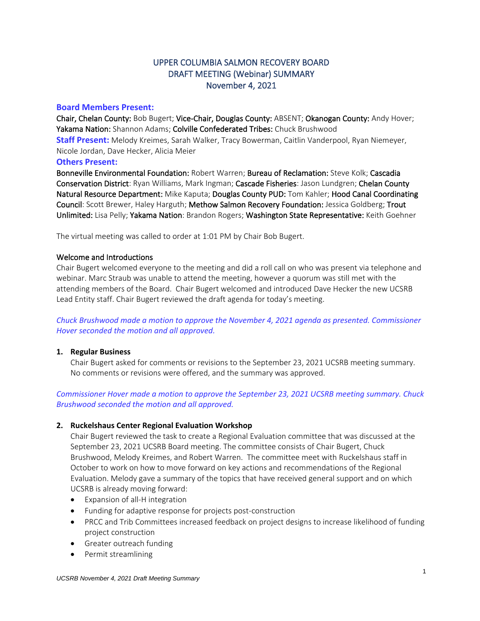# UPPER COLUMBIA SALMON RECOVERY BOARD DRAFT MEETING (Webinar) SUMMARY November 4, 2021

## **Board Members Present:**

Chair, Chelan County: Bob Bugert; Vice-Chair, Douglas County: ABSENT; Okanogan County: Andy Hover; Yakama Nation: Shannon Adams; Colville Confederated Tribes: Chuck Brushwood **Staff Present:** Melody Kreimes, Sarah Walker, Tracy Bowerman, Caitlin Vanderpool, Ryan Niemeyer, Nicole Jordan, Dave Hecker, Alicia Meier

### **Others Present:**

Bonneville Environmental Foundation: Robert Warren; Bureau of Reclamation: Steve Kolk; Cascadia Conservation District: Ryan Williams, Mark Ingman; Cascade Fisheries: Jason Lundgren; Chelan County Natural Resource Department: Mike Kaputa; Douglas County PUD: Tom Kahler; Hood Canal Coordinating Council: Scott Brewer, Haley Harguth; Methow Salmon Recovery Foundation: Jessica Goldberg; Trout Unlimited: Lisa Pelly; Yakama Nation: Brandon Rogers; Washington State Representative: Keith Goehner

The virtual meeting was called to order at 1:01 PM by Chair Bob Bugert.

### Welcome and Introductions

Chair Bugert welcomed everyone to the meeting and did a roll call on who was present via telephone and webinar. Marc Straub was unable to attend the meeting, however a quorum was still met with the attending members of the Board. Chair Bugert welcomed and introduced Dave Hecker the new UCSRB Lead Entity staff. Chair Bugert reviewed the draft agenda for today's meeting.

*Chuck Brushwood made a motion to approve the November 4, 2021 agenda as presented. Commissioner Hover seconded the motion and all approved.*

#### **1. Regular Business**

Chair Bugert asked for comments or revisions to the September 23, 2021 UCSRB meeting summary. No comments or revisions were offered, and the summary was approved.

*Commissioner Hover made a motion to approve the September 23, 2021 UCSRB meeting summary. Chuck Brushwood seconded the motion and all approved.*

### **2. Ruckelshaus Center Regional Evaluation Workshop**

Chair Bugert reviewed the task to create a Regional Evaluation committee that was discussed at the September 23, 2021 UCSRB Board meeting. The committee consists of Chair Bugert, Chuck Brushwood, Melody Kreimes, and Robert Warren. The committee meet with Ruckelshaus staff in October to work on how to move forward on key actions and recommendations of the Regional Evaluation. Melody gave a summary of the topics that have received general support and on which UCSRB is already moving forward:

- Expansion of all-H integration
- Funding for adaptive response for projects post-construction
- PRCC and Trib Committees increased feedback on project designs to increase likelihood of funding project construction
- Greater outreach funding
- Permit streamlining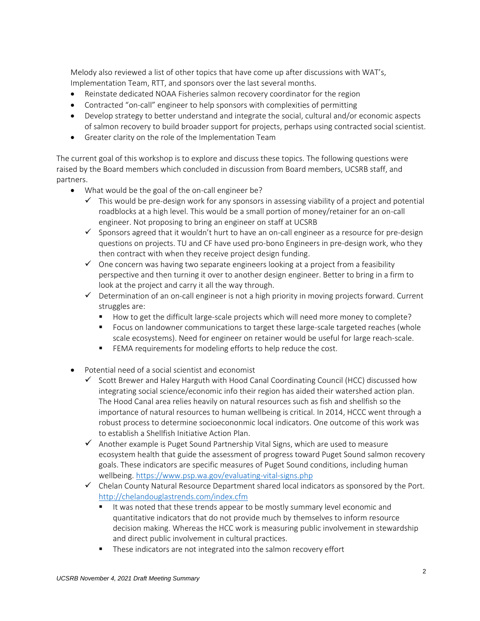Melody also reviewed a list of other topics that have come up after discussions with WAT's, Implementation Team, RTT, and sponsors over the last several months.

- Reinstate dedicated NOAA Fisheries salmon recovery coordinator for the region
- Contracted "on-call" engineer to help sponsors with complexities of permitting
- Develop strategy to better understand and integrate the social, cultural and/or economic aspects of salmon recovery to build broader support for projects, perhaps using contracted social scientist.
- Greater clarity on the role of the Implementation Team

The current goal of this workshop is to explore and discuss these topics. The following questions were raised by the Board members which concluded in discussion from Board members, UCSRB staff, and partners.

- What would be the goal of the on-call engineer be?
	- $\checkmark$  This would be pre-design work for any sponsors in assessing viability of a project and potential roadblocks at a high level. This would be a small portion of money/retainer for an on-call engineer. Not proposing to bring an engineer on staff at UCSRB
	- ✓ Sponsors agreed that it wouldn't hurt to have an on-call engineer as a resource for pre-design questions on projects. TU and CF have used pro-bono Engineers in pre-design work, who they then contract with when they receive project design funding.
	- $\checkmark$  One concern was having two separate engineers looking at a project from a feasibility perspective and then turning it over to another design engineer. Better to bring in a firm to look at the project and carry it all the way through.
	- $\checkmark$  Determination of an on-call engineer is not a high priority in moving projects forward. Current struggles are:
		- How to get the difficult large-scale projects which will need more money to complete?
		- Focus on landowner communications to target these large-scale targeted reaches (whole scale ecosystems). Need for engineer on retainer would be useful for large reach-scale.
		- FEMA requirements for modeling efforts to help reduce the cost.
- Potential need of a social scientist and economist
	- $\checkmark$  Scott Brewer and Haley Harguth with Hood Canal Coordinating Council (HCC) discussed how integrating social science/economic info their region has aided their watershed action plan. The Hood Canal area relies heavily on natural resources such as fish and shellfish so the importance of natural resources to human wellbeing is critical. In 2014, HCCC went through a robust process to determine socioecononmic local indicators. One outcome of this work was to establish a Shellfish Initiative Action Plan.
	- $\checkmark$  Another example is Puget Sound Partnership Vital Signs, which are used to measure ecosystem health that guide the assessment of progress toward Puget Sound salmon recovery goals. These indicators are specific measures of Puget Sound conditions, including human wellbeing[. https://www.psp.wa.gov/evaluating-vital-signs.php](https://www.psp.wa.gov/evaluating-vital-signs.php)
	- $\checkmark$  Chelan County Natural Resource Department shared local indicators as sponsored by the Port. <http://chelandouglastrends.com/index.cfm>
		- It was noted that these trends appear to be mostly summary level economic and quantitative indicators that do not provide much by themselves to inform resource decision making. Whereas the HCC work is measuring public involvement in stewardship and direct public involvement in cultural practices.
		- These indicators are not integrated into the salmon recovery effort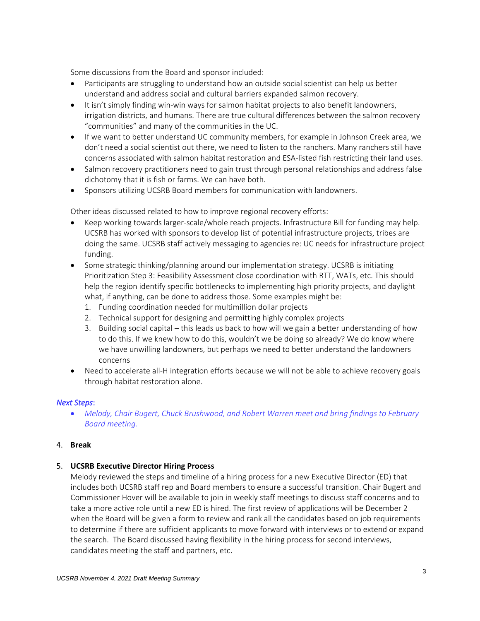Some discussions from the Board and sponsor included:

- Participants are struggling to understand how an outside social scientist can help us better understand and address social and cultural barriers expanded salmon recovery.
- It isn't simply finding win-win ways for salmon habitat projects to also benefit landowners, irrigation districts, and humans. There are true cultural differences between the salmon recovery "communities" and many of the communities in the UC.
- If we want to better understand UC community members, for example in Johnson Creek area, we don't need a social scientist out there, we need to listen to the ranchers. Many ranchers still have concerns associated with salmon habitat restoration and ESA-listed fish restricting their land uses.
- Salmon recovery practitioners need to gain trust through personal relationships and address false dichotomy that it is fish or farms. We can have both.
- Sponsors utilizing UCSRB Board members for communication with landowners.

Other ideas discussed related to how to improve regional recovery efforts:

- Keep working towards larger-scale/whole reach projects. Infrastructure Bill for funding may help. UCSRB has worked with sponsors to develop list of potential infrastructure projects, tribes are doing the same. UCSRB staff actively messaging to agencies re: UC needs for infrastructure project funding.
- Some strategic thinking/planning around our implementation strategy. UCSRB is initiating Prioritization Step 3: Feasibility Assessment close coordination with RTT, WATs, etc. This should help the region identify specific bottlenecks to implementing high priority projects, and daylight what, if anything, can be done to address those. Some examples might be:
	- 1. Funding coordination needed for multimillion dollar projects
	- 2. Technical support for designing and permitting highly complex projects
	- 3. Building social capital this leads us back to how will we gain a better understanding of how to do this. If we knew how to do this, wouldn't we be doing so already? We do know where we have unwilling landowners, but perhaps we need to better understand the landowners concerns
- Need to accelerate all-H integration efforts because we will not be able to achieve recovery goals through habitat restoration alone.

### *Next Steps*:

• *Melody, Chair Bugert, Chuck Brushwood, and Robert Warren meet and bring findings to February Board meeting.* 

### 4. **Break**

### 5. **UCSRB Executive Director Hiring Process**

Melody reviewed the steps and timeline of a hiring process for a new Executive Director (ED) that includes both UCSRB staff rep and Board members to ensure a successful transition. Chair Bugert and Commissioner Hover will be available to join in weekly staff meetings to discuss staff concerns and to take a more active role until a new ED is hired. The first review of applications will be December 2 when the Board will be given a form to review and rank all the candidates based on job requirements to determine if there are sufficient applicants to move forward with interviews or to extend or expand the search. The Board discussed having flexibility in the hiring process for second interviews, candidates meeting the staff and partners, etc.